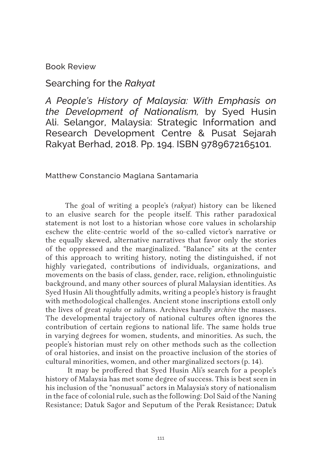Book Review

## Searching for the *Rakyat*

*A People's History of Malaysia: With Emphasis on the Development of Nationalism,* by Syed Husin Ali. Selangor, Malaysia: Strategic Information and Research Development Centre & Pusat Sejarah Rakyat Berhad, 2018. Pp. 194. ISBN 9789672165101.

Matthew Constancio Maglana Santamaria

The goal of writing a people's (*rakyat*) history can be likened to an elusive search for the people itself. This rather paradoxical statement is not lost to a historian whose core values in scholarship eschew the elite-centric world of the so-called victor's narrative or the equally skewed, alternative narratives that favor only the stories of the oppressed and the marginalized. "Balance" sits at the center of this approach to writing history, noting the distinguished, if not highly variegated, contributions of individuals, organizations, and movements on the basis of class, gender, race, religion, ethnolinguistic background, and many other sources of plural Malaysian identities. As Syed Husin Ali thoughtfully admits, writing a people's history is fraught with methodological challenges. Ancient stone inscriptions extoll only the lives of great *rajahs* or *sultan*s. Archives hardly *archive* the masses. The developmental trajectory of national cultures often ignores the contribution of certain regions to national life. The same holds true in varying degrees for women, students, and minorities. As such, the people's historian must rely on other methods such as the collection of oral histories, and insist on the proactive inclusion of the stories of cultural minorities, women, and other marginalized sectors (p. 14).

 It may be proffered that Syed Husin Ali's search for a people's history of Malaysia has met some degree of success. This is best seen in his inclusion of the "nonusual" actors in Malaysia's story of nationalism in the face of colonial rule, such as the following: Dol Said of the Naning Resistance; Datuk Sagor and Seputum of the Perak Resistance; Datuk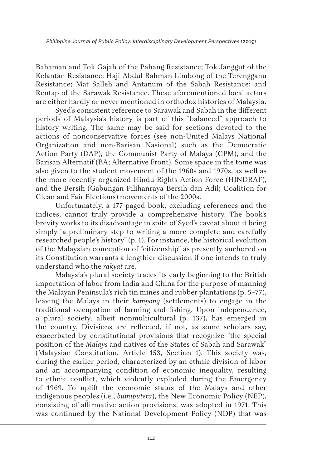Bahaman and Tok Gajah of the Pahang Resistance; Tok Janggut of the Kelantan Resistance; Haji Abdul Rahman Limbong of the Terengganu Resistance; Mat Salleh and Antanum of the Sabah Resistance; and Rentap of the Sarawak Resistance. These aforementioned local actors are either hardly or never mentioned in orthodox histories of Malaysia.

Syed's consistent reference to Sarawak and Sabah in the different periods of Malaysia's history is part of this "balanced" approach to history writing. The same may be said for sections devoted to the actions of nonconservative forces (see non-United Malays National Organization and non-Barisan Nasional) such as the Democratic Action Party (DAP), the Communist Party of Malaya (CPM), and the Barisan Alternatif (BA; Alternative Front). Some space in the tome was also given to the student movement of the 1960s and 1970s, as well as the more recently organized Hindu Rights Action Force (HINDRAF), and the Bersih (Gabungan Pilihanraya Bersih dan Adil; Coalition for Clean and Fair Elections) movements of the 2000s.

Unfortunately, a 177-paged book, excluding references and the indices, cannot truly provide a comprehensive history. The book's brevity works to its disadvantage in spite of Syed's caveat about it being simply "a preliminary step to writing a more complete and carefully researched people's history" (p. 1). For instance, the historical evolution of the Malaysian conception of "citizenship" as presently anchored on its Constitution warrants a lengthier discussion if one intends to truly understand who the *rakyat* are.

Malaysia's plural society traces its early beginning to the British importation of labor from India and China for the purpose of manning the Malayan Peninsula's rich tin mines and rubber plantations (p. 5–77), leaving the Malays in their *kampong* (settlements) to engage in the traditional occupation of farming and fishing. Upon independence, a plural society, albeit nonmulticultural (p. 137), has emerged in the country. Divisions are reflected, if not, as some scholars say, exacerbated by constitutional provisions that recognize "the special position of the *Malays* and natives of the States of Sabah and Sarawak" (Malaysian Constitution, Article 153, Section 1). This society was, during the earlier period, characterized by an ethnic division of labor and an accompanying condition of economic inequality, resulting to ethnic conflict, which violently exploded during the Emergency of 1969. To uplift the economic status of the Malays and other indigenous peoples (i.e., *bumiputera*), the New Economic Policy (NEP), consisting of affirmative action provisions, was adopted in 1971. This was continued by the National Development Policy (NDP) that was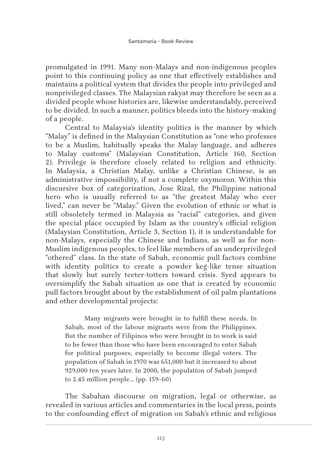promulgated in 1991. Many non-Malays and non-indigenous peoples point to this continuing policy as one that effectively establishes and maintains a political system that divides the people into privileged and nonprivileged classes. The Malaysian rakyat may therefore be seen as a divided people whose histories are, likewise understandably, perceived to be divided. In such a manner, politics bleeds into the history-making of a people.

Central to Malaysia's identity politics is the manner by which "Malay" is defined in the Malaysian Constitution as "one who professes to be a Muslim, habitually speaks the Malay language, and adheres to Malay customs" (Malaysian Constitution, Article 160, Section 2). Privilege is therefore closely related to religion and ethnicity. In Malaysia, a Christian Malay, unlike a Christian Chinese, is an administrative impossibility, if not a complete oxymoron. Within this discursive box of categorization, Jose Rizal, the Philippine national hero who is usually referred to as "the greatest Malay who ever lived," can never be "Malay." Given the evolution of ethnic or what is still obsoletely termed in Malaysia as "racial" categories, and given the special place occupied by Islam as the country's official religion (Malaysian Constitution, Article 3, Section 1), it is understandable for non-Malays, especially the Chinese and Indians, as well as for non-Muslim indigenous peoples, to feel like members of an underprivileged "othered" class. In the state of Sabah, economic pull factors combine with identity politics to create a powder keg-like tense situation that slowly but surely teeter-totters toward crisis. Syed appears to oversimplify the Sabah situation as one that is created by economic pull factors brought about by the establishment of oil palm plantations and other developmental projects:

Many migrants were brought in to fulfill these needs. In Sabah, most of the labour migrants were from the Philippines. But the number of Filipinos who were brought in to work is said to be fewer than those who have been encouraged to enter Sabah for political purposes, especially to become illegal voters. The population of Sabah in 1970 was 651,000 but it increased to about 929,000 ten years later. In 2000, the population of Sabah jumped to 2.45 million people… (pp. 159–60)

The Sabahan discourse on migration, legal or otherwise, as revealed in various articles and commentaries in the local press, points to the confounding effect of migration on Sabah's ethnic and religious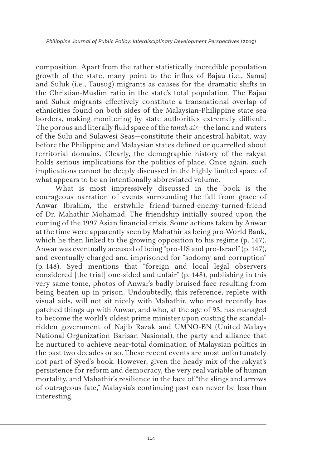composition. Apart from the rather statistically incredible population growth of the state, many point to the influx of Bajau (i.e., Sama) and Suluk (i.e., Tausug) migrants as causes for the dramatic shifts in the Christian-Muslim ratio in the state's total population. The Bajau and Suluk migrants effectively constitute a transnational overlap of ethnicities found on both sides of the Malaysian-Philippine state sea borders, making monitoring by state authorities extremely difficult. The porous and literally fluid space of the *tanah air*—the land and waters of the Sulu and Sulawesi Seas—constitute their ancestral habitat, way before the Philippine and Malaysian states defined or quarrelled about territorial domains. Clearly, the demographic history of the rakyat holds serious implications for the politics of place. Once again, such implications cannot be deeply discussed in the highly limited space of what appears to be an intentionally abbreviated volume.

What is most impressively discussed in the book is the courageous narration of events surrounding the fall from grace of Anwar Ibrahim, the erstwhile friend-turned-enemy-turned-friend of Dr. Mahathir Mohamad. The friendship initially soured upon the coming of the 1997 Asian financial crisis. Some actions taken by Anwar at the time were apparently seen by Mahathir as being pro-World Bank, which he then linked to the growing opposition to his regime (p. 147). Anwar was eventually accused of being "pro-US and pro-Israel" (p. 147), and eventually charged and imprisoned for "sodomy and corruption" (p. 148). Syed mentions that "foreign and local legal observers considered [the trial] one-sided and unfair" (p. 148), publishing in this very same tome, photos of Anwar's badly bruised face resulting from being beaten up in prison. Undoubtedly, this reference, replete with visual aids, will not sit nicely with Mahathir, who most recently has patched things up with Anwar, and who, at the age of 93, has managed to become the world's oldest prime minister upon ousting the scandalridden government of Najib Razak and UMNO-BN (United Malays National Organization–Barisan Nasional), the party and alliance that he nurtured to achieve near-total domination of Malaysian politics in the past two decades or so. These recent events are most unfortunately not part of Syed's book. However, given the heady mix of the rakyat's persistence for reform and democracy, the very real variable of human mortality, and Mahathir's resilience in the face of "the slings and arrows of outrageous fate," Malaysia's continuing past can never be less than interesting.